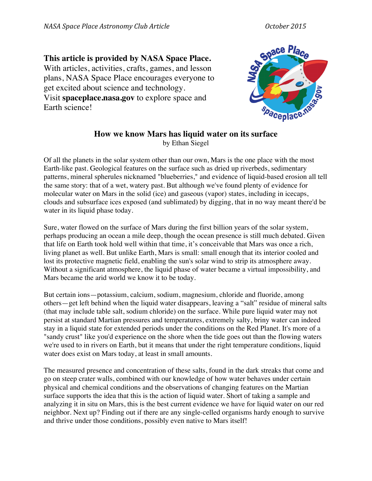## **This article is provided by NASA Space Place.** With articles, activities, crafts, games, and lesson plans, NASA Space Place encourages everyone to get excited about science and technology. Visit **spaceplace.nasa.gov** to explore space and Earth science!



## **How we know Mars has liquid water on its surface** by Ethan Siegel

Of all the planets in the solar system other than our own, Mars is the one place with the most Earth-like past. Geological features on the surface such as dried up riverbeds, sedimentary patterns, mineral spherules nicknamed "blueberries," and evidence of liquid-based erosion all tell the same story: that of a wet, watery past. But although we've found plenty of evidence for molecular water on Mars in the solid (ice) and gaseous (vapor) states, including in icecaps, clouds and subsurface ices exposed (and sublimated) by digging, that in no way meant there'd be water in its liquid phase today.

Sure, water flowed on the surface of Mars during the first billion years of the solar system, perhaps producing an ocean a mile deep, though the ocean presence is still much debated. Given that life on Earth took hold well within that time, it's conceivable that Mars was once a rich, living planet as well. But unlike Earth, Mars is small: small enough that its interior cooled and lost its protective magnetic field, enabling the sun's solar wind to strip its atmosphere away. Without a significant atmosphere, the liquid phase of water became a virtual impossibility, and Mars became the arid world we know it to be today.

But certain ions—potassium, calcium, sodium, magnesium, chloride and fluoride, among others—get left behind when the liquid water disappears, leaving a "salt" residue of mineral salts (that may include table salt, sodium chloride) on the surface. While pure liquid water may not persist at standard Martian pressures and temperatures, extremely salty, briny water can indeed stay in a liquid state for extended periods under the conditions on the Red Planet. It's more of a "sandy crust" like you'd experience on the shore when the tide goes out than the flowing waters we're used to in rivers on Earth, but it means that under the right temperature conditions, liquid water does exist on Mars today, at least in small amounts.

The measured presence and concentration of these salts, found in the dark streaks that come and go on steep crater walls, combined with our knowledge of how water behaves under certain physical and chemical conditions and the observations of changing features on the Martian surface supports the idea that this is the action of liquid water. Short of taking a sample and analyzing it in situ on Mars, this is the best current evidence we have for liquid water on our red neighbor. Next up? Finding out if there are any single-celled organisms hardy enough to survive and thrive under those conditions, possibly even native to Mars itself!